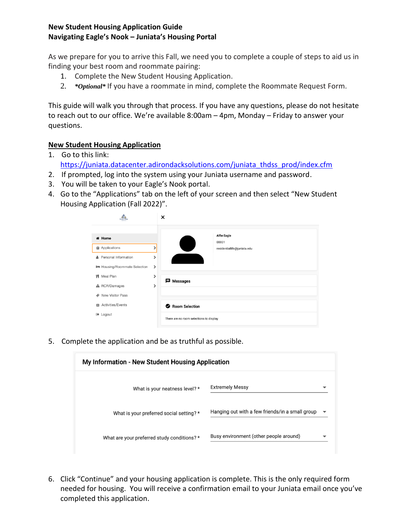## **New Student Housing Application Guide Navigating Eagle's Nook – Juniata's Housing Portal**

As we prepare for you to arrive this Fall, we need you to complete a couple of steps to aid us in finding your best room and roommate pairing:

- 1. Complete the New Student Housing Application.
- 2. *\*Optional\** If you have a roommate in mind, complete the Roommate Request Form.

This guide will walk you through that process. If you have any questions, please do not hesitate to reach out to our office. We're available 8:00am – 4pm, Monday – Friday to answer your questions.

## **New Student Housing Application**

- 1. Go to this link: [https://juniata.datacenter.adirondacksolutions.com/juniata\\_thdss\\_prod/index.cfm](https://juniata.datacenter.adirondacksolutions.com/juniata_thdss_prod/index.cfm) 2. If prompted, log into the system using your Juniata username and password.
- 3. You will be taken to your Eagle's Nook portal.
- 4. Go to the "Applications" tab on the left of your screen and then select "New Student Housing Application (Fall 2022)".

| Juniata College<br><b>CONTRACTOR</b> | ×                                       |
|--------------------------------------|-----------------------------------------|
| <del></del> Home                     | <b>Alfie Eagle</b><br>00001             |
| <b>自 Applications</b>                | residentiallife@juniata.edu             |
| Personal Information<br>$\Delta$     | ⋟                                       |
| Housing/Roommate Selection           | $\,$                                    |
| WI Meal Plan                         | ⋟<br><b>目</b> Messages                  |
| A RCR/Damages                        | >                                       |
| New Visitor Pass<br>lei              |                                         |
| Activities/Events<br>22              | Room Selection                          |
| □ Logout                             | There are no room selections to display |

5. Complete the application and be as truthful as possible.

| My Information - New Student Housing Application |                                                 |   |  |
|--------------------------------------------------|-------------------------------------------------|---|--|
| What is your neatness level? *                   | <b>Extremely Messy</b>                          |   |  |
| What is your preferred social setting? *         | Hanging out with a few friends/in a small group | ▼ |  |
| What are your preferred study conditions? *      | Busy environment (other people around)          |   |  |

6. Click "Continue" and your housing application is complete. This is the only required form needed for housing. You will receive a confirmation email to your Juniata email once you've completed this application.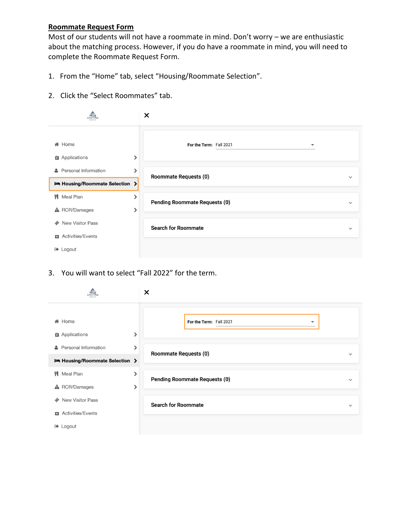## **Roommate Request Form**

Most of our students will not have a roommate in mind. Don't worry – we are enthusiastic about the matching process. However, if you do have a roommate in mind, you will need to complete the Roommate Request Form.

- 1. From the "Home" tab, select "Housing/Roommate Selection".
- 2. Click the "Select Roommates" tab.

|                                                                    | ×                                                   |              |
|--------------------------------------------------------------------|-----------------------------------------------------|--------------|
| <b>备 Home</b><br>⋟<br><b>自</b> Applications                        | For the Term: Fall 2021<br>$\overline{\phantom{a}}$ |              |
| <b>A</b> Personal Information<br>⋟<br>Housing/Roommate Selection > | Roommate Requests (0)                               | $\checkmark$ |
| <b>W</b> Meal Plan<br>⋟<br><b>A</b> RCR/Damages<br>⋟               | <b>Pending Roommate Requests (0)</b>                | $\checkmark$ |
| <b>New Visitor Pass</b><br>le)<br><b>Activities/Events</b><br>53   | <b>Search for Roommate</b>                          | $\checkmark$ |
| □ Logout                                                           |                                                     |              |

3. You will want to select "Fall 2022" for the term.

| uniata Colli                                                       | ×                                                   |              |
|--------------------------------------------------------------------|-----------------------------------------------------|--------------|
| <b>备 Home</b><br><b>自 Applications</b><br>ゝ                        | For the Term: Fall 2021<br>$\overline{\phantom{a}}$ |              |
| <b>A</b> Personal Information<br>ゝ<br>Housing/Roommate Selection > | <b>Roommate Requests (0)</b>                        | $\checkmark$ |
| <b>W</b> Meal Plan<br>⋟<br><b>A</b> RCR/Damages<br>▸               | <b>Pending Roommate Requests (0)</b>                | $\checkmark$ |
| <b>New Visitor Pass</b><br>le)<br><b>EZ</b> Activities/Events      | <b>Search for Roommate</b>                          | $\checkmark$ |
| □ Logout                                                           |                                                     |              |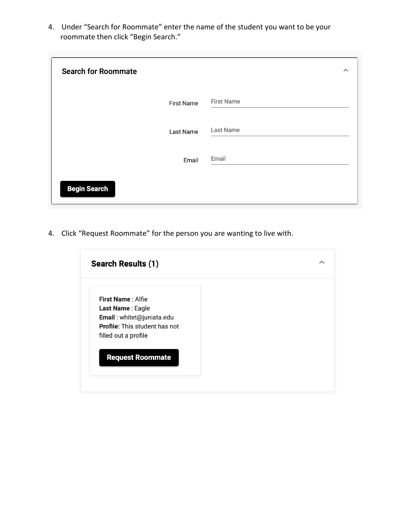4. Under "Search for Roommate" enter the name of the student you want to be your roommate then click "Begin Search."

| <b>Search for Roommate</b> |                   | ᄉ                 |
|----------------------------|-------------------|-------------------|
|                            | <b>First Name</b> | <b>First Name</b> |
|                            | Last Name         | Last Name         |
|                            | Email             | Email             |
| <b>Begin Search</b>        |                   |                   |

4. Click "Request Roommate" for the person you are wanting to live with.

| Search Results (1)                   |  |
|--------------------------------------|--|
| First Name: Alfie                    |  |
| Last Name: Eagle                     |  |
| Email: whitet@juniata.edu            |  |
| <b>Profile:</b> This student has not |  |
| filled out a profile                 |  |
|                                      |  |
| <b>Request Roommate</b>              |  |
|                                      |  |